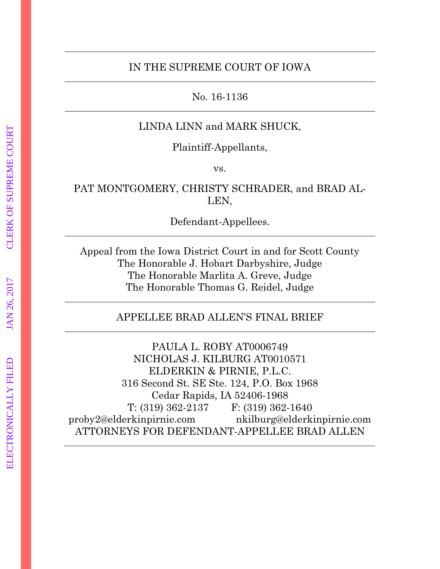#### IN THE SUPREME COURT OF IOWA

No. 16-1136

# LINDA LINN and MARK SHUCK,

Plaintiff-Appellants,

vs.

# PAT MONTGOMERY, CHRISTY SCHRADER, and BRAD AL-LEN,

Defendant-Appellees.

Appeal from the Iowa District Court in and for Scott County The Honorable J. Hobart Darbyshire, Judge The Honorable Marlita A. Greve, Judge The Honorable Thomas G. Reidel, Judge

# APPELLEE BRAD ALLEN'S FINAL BRIEF

PAULA L. ROBY AT0006749 NICHOLAS J. KILBURG AT0010571 ELDERKIN & PIRNIE, P.L.C. 316 Second St. SE Ste. 124, P.O. Box 1968 Cedar Rapids, IA 52406-1968 T: (319) 362-2137 F: (319) 362-1640 proby2@elderkinpirnie.com nkilburg@elderkinpirnie.com ATTORNEYS FOR DEFENDANT-APPELLEE BRAD ALLEN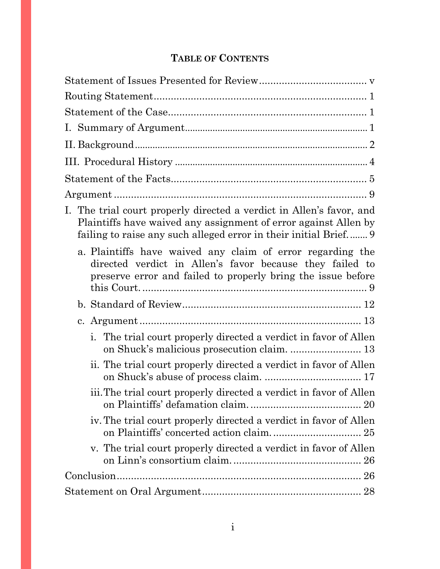# **TABLE OF CONTENTS**

| I. The trial court properly directed a verdict in Allen's favor, and<br>Plaintiffs have waived any assignment of error against Allen by<br>failing to raise any such alleged error in their initial Brief 9 |
|-------------------------------------------------------------------------------------------------------------------------------------------------------------------------------------------------------------|
| a. Plaintiffs have waived any claim of error regarding the<br>directed verdict in Allen's favor because they failed to<br>preserve error and failed to properly bring the issue before                      |
|                                                                                                                                                                                                             |
|                                                                                                                                                                                                             |
| The trial court properly directed a verdict in favor of Allen<br>i.                                                                                                                                         |
| ii. The trial court properly directed a verdict in favor of Allen                                                                                                                                           |
| iii. The trial court properly directed a verdict in favor of Allen                                                                                                                                          |
| iv. The trial court properly directed a verdict in favor of Allen<br>on Plaintiffs' concerted action claim 25                                                                                               |
| v. The trial court properly directed a verdict in favor of Allen                                                                                                                                            |
|                                                                                                                                                                                                             |
|                                                                                                                                                                                                             |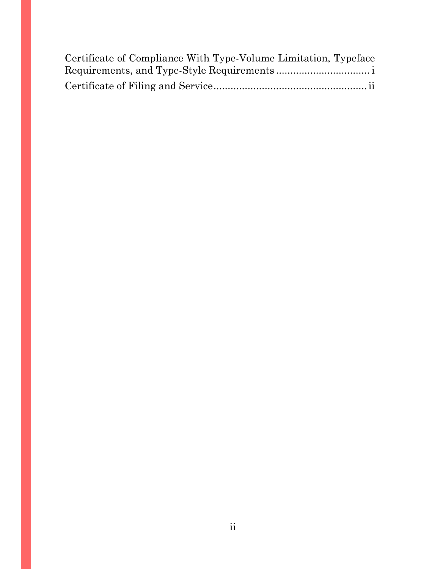| Certificate of Compliance With Type-Volume Limitation, Typeface |
|-----------------------------------------------------------------|
|                                                                 |
|                                                                 |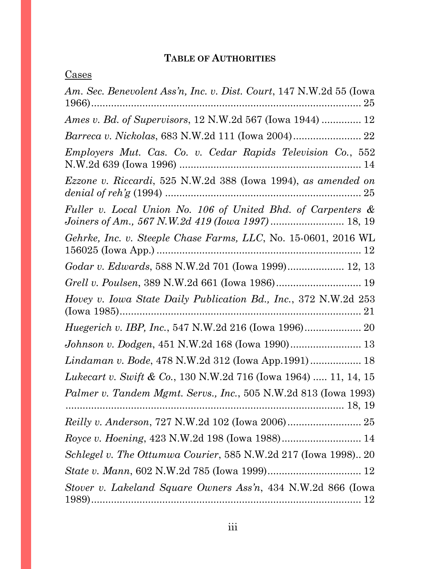# **TABLE OF AUTHORITIES**

| <u>Cases</u>                                                                                                       |
|--------------------------------------------------------------------------------------------------------------------|
| Am. Sec. Benevolent Ass'n, Inc. v. Dist. Court, 147 N.W.2d 55 (Iowa                                                |
| <i>Ames v. Bd. of Supervisors, 12 N.W.2d 567 (Iowa 1944)  12</i>                                                   |
|                                                                                                                    |
| Employers Mut. Cas. Co. v. Cedar Rapids Television Co., 552                                                        |
| Ezzone v. Riccardi, 525 N.W.2d 388 (Iowa 1994), as amended on                                                      |
| Fuller v. Local Union No. 106 of United Bhd. of Carpenters &<br>Joiners of Am., 567 N.W.2d 419 (Iowa 1997)  18, 19 |
| Gehrke, Inc. v. Steeple Chase Farms, LLC, No. 15-0601, 2016 WL                                                     |
| Godar v. Edwards, 588 N.W.2d 701 (Iowa 1999) 12, 13                                                                |
| Grell v. Poulsen, 389 N.W.2d 661 (Iowa 1986) 19                                                                    |
| Hovey v. Iowa State Daily Publication Bd., Inc., 372 N.W.2d 253<br>21                                              |
|                                                                                                                    |
| Johnson v. Dodgen, 451 N.W.2d 168 (Iowa 1990) 13                                                                   |
| Lindaman v. Bode, 478 N.W.2d 312 (Iowa App.1991) 18                                                                |
| <i>Lukecart v. Swift &amp; Co.</i> , 130 N.W.2d 716 (Iowa 1964)  11, 14, 15                                        |
| Palmer v. Tandem Mgmt. Servs., Inc., 505 N.W.2d 813 (Iowa 1993)                                                    |
|                                                                                                                    |
| Royce v. Hoening, 423 N.W.2d 198 (Iowa 1988) 14                                                                    |
| Schlegel v. The Ottumwa Courier, 585 N.W.2d 217 (Iowa 1998) 20                                                     |
|                                                                                                                    |
| Stover v. Lakeland Square Owners Ass'n, 434 N.W.2d 866 (Iowa                                                       |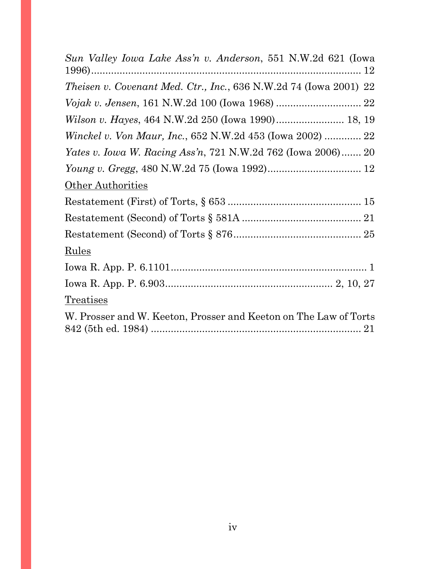<span id="page-4-0"></span>

| Sun Valley Iowa Lake Ass'n v. Anderson, 551 N.W.2d 621 (Iowa        |
|---------------------------------------------------------------------|
| Theisen v. Covenant Med. Ctr., Inc., 636 N.W.2d 74 (Iowa 2001) 22   |
|                                                                     |
| Wilson v. Hayes, 464 N.W.2d 250 (Iowa 1990) 18, 19                  |
| <i>Winckel v. Von Maur, Inc., 652 N.W.2d 453 (Iowa 2002)  22</i>    |
| <i>Yates v. Iowa W. Racing Ass'n, 721 N.W.2d 762 (Iowa 2006) 20</i> |
|                                                                     |
| Other Authorities                                                   |
|                                                                     |
|                                                                     |
|                                                                     |
| Rules                                                               |
|                                                                     |
|                                                                     |
| Treatises                                                           |
| W. Prosser and W. Keeton, Prosser and Keeton on The Law of Torts    |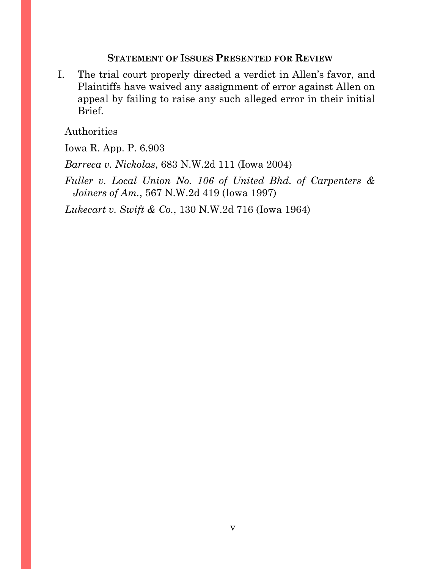### **STATEMENT OF ISSUES PRESENTED FOR REVIEW**

I. The trial court properly directed a verdict in Allen's favor, and Plaintiffs have waived any assignment of error against Allen on appeal by failing to raise any such alleged error in their initial Brief.

Authorities

Iowa R. App. P. 6.903

*Barreca v. Nickolas*, 683 N.W.2d 111 (Iowa 2004)

*Fuller v. Local Union No. 106 of United Bhd. of Carpenters & Joiners of Am.*, 567 N.W.2d 419 (Iowa 1997)

*Lukecart v. Swift & Co.*, 130 N.W.2d 716 (Iowa 1964)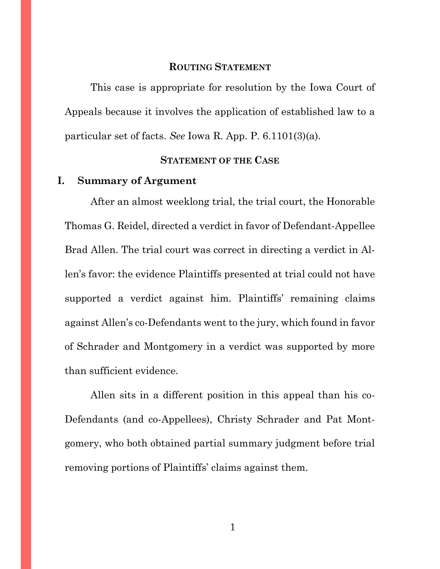## **ROUTING STATEMENT**

<span id="page-6-0"></span>This case is appropriate for resolution by the Iowa Court of Appeals because it involves the application of established law to a particular set of facts. *See* Iowa R. App. P. 6.1101(3)(a).

#### **STATEMENT OF THE CASE**

#### <span id="page-6-2"></span><span id="page-6-1"></span>**I. Summary of Argument**

After an almost weeklong trial, the trial court, the Honorable Thomas G. Reidel, directed a verdict in favor of Defendant-Appellee Brad Allen. The trial court was correct in directing a verdict in Allen's favor: the evidence Plaintiffs presented at trial could not have supported a verdict against him. Plaintiffs' remaining claims against Allen's co-Defendants went to the jury, which found in favor of Schrader and Montgomery in a verdict was supported by more than sufficient evidence.

Allen sits in a different position in this appeal than his co-Defendants (and co-Appellees), Christy Schrader and Pat Montgomery, who both obtained partial summary judgment before trial removing portions of Plaintiffs' claims against them.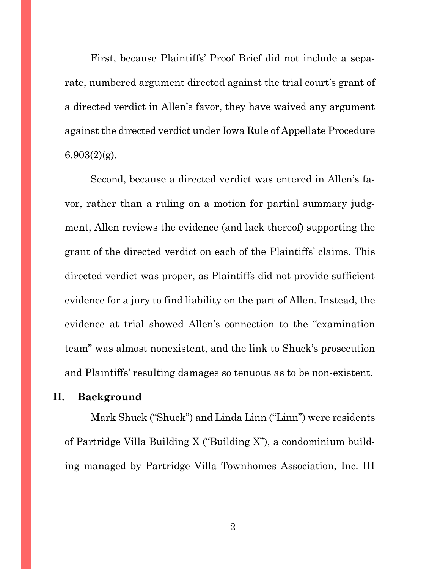First, because Plaintiffs' Proof Brief did not include a separate, numbered argument directed against the trial court's grant of a directed verdict in Allen's favor, they have waived any argument against the directed verdict under Iowa Rule of Appellate Procedure  $6.903(2)(g)$ .

Second, because a directed verdict was entered in Allen's favor, rather than a ruling on a motion for partial summary judgment, Allen reviews the evidence (and lack thereof) supporting the grant of the directed verdict on each of the Plaintiffs' claims. This directed verdict was proper, as Plaintiffs did not provide sufficient evidence for a jury to find liability on the part of Allen. Instead, the evidence at trial showed Allen's connection to the "examination team" was almost nonexistent, and the link to Shuck's prosecution and Plaintiffs' resulting damages so tenuous as to be non-existent.

## <span id="page-7-0"></span>**II. Background**

Mark Shuck ("Shuck") and Linda Linn ("Linn") were residents of Partridge Villa Building X ("Building X"), a condominium building managed by Partridge Villa Townhomes Association, Inc. III

2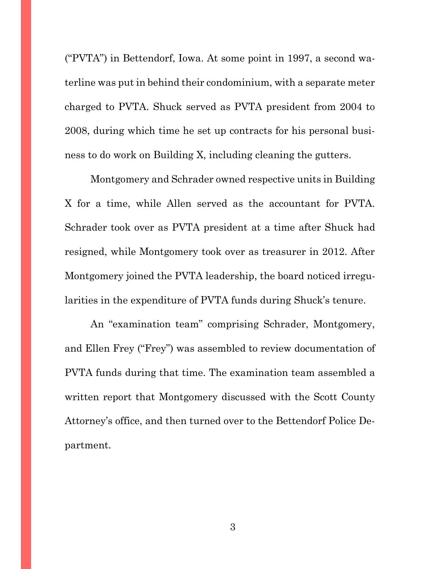("PVTA") in Bettendorf, Iowa. At some point in 1997, a second waterline was put in behind their condominium, with a separate meter charged to PVTA. Shuck served as PVTA president from 2004 to 2008, during which time he set up contracts for his personal business to do work on Building X, including cleaning the gutters.

Montgomery and Schrader owned respective units in Building X for a time, while Allen served as the accountant for PVTA. Schrader took over as PVTA president at a time after Shuck had resigned, while Montgomery took over as treasurer in 2012. After Montgomery joined the PVTA leadership, the board noticed irregularities in the expenditure of PVTA funds during Shuck's tenure.

An "examination team" comprising Schrader, Montgomery, and Ellen Frey ("Frey") was assembled to review documentation of PVTA funds during that time. The examination team assembled a written report that Montgomery discussed with the Scott County Attorney's office, and then turned over to the Bettendorf Police Department.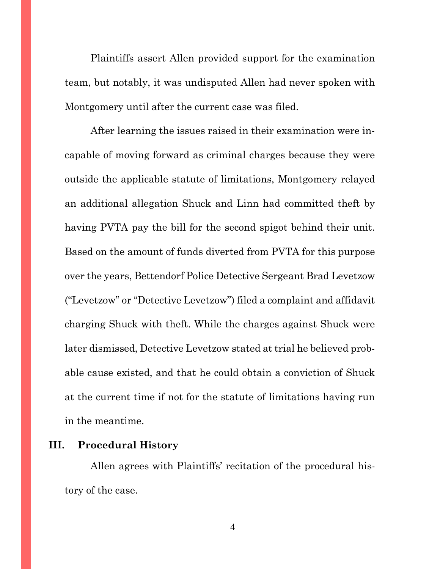Plaintiffs assert Allen provided support for the examination team, but notably, it was undisputed Allen had never spoken with Montgomery until after the current case was filed.

After learning the issues raised in their examination were incapable of moving forward as criminal charges because they were outside the applicable statute of limitations, Montgomery relayed an additional allegation Shuck and Linn had committed theft by having PVTA pay the bill for the second spigot behind their unit. Based on the amount of funds diverted from PVTA for this purpose over the years, Bettendorf Police Detective Sergeant Brad Levetzow ("Levetzow" or "Detective Levetzow") filed a complaint and affidavit charging Shuck with theft. While the charges against Shuck were later dismissed, Detective Levetzow stated at trial he believed probable cause existed, and that he could obtain a conviction of Shuck at the current time if not for the statute of limitations having run in the meantime.

## <span id="page-9-0"></span>**III. Procedural History**

Allen agrees with Plaintiffs' recitation of the procedural history of the case.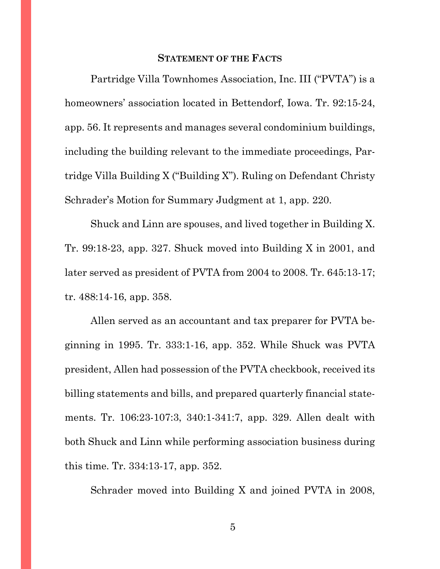#### **STATEMENT OF THE FACTS**

<span id="page-10-0"></span>Partridge Villa Townhomes Association, Inc. III ("PVTA") is a homeowners' association located in Bettendorf, Iowa. Tr. 92:15-24, app. 56. It represents and manages several condominium buildings, including the building relevant to the immediate proceedings, Partridge Villa Building X ("Building X"). Ruling on Defendant Christy Schrader's Motion for Summary Judgment at 1, app. 220.

Shuck and Linn are spouses, and lived together in Building X. Tr. 99:18-23, app. 327. Shuck moved into Building X in 2001, and later served as president of PVTA from 2004 to 2008. Tr. 645:13-17; tr. 488:14-16, app. 358.

Allen served as an accountant and tax preparer for PVTA beginning in 1995. Tr. 333:1-16, app. 352. While Shuck was PVTA president, Allen had possession of the PVTA checkbook, received its billing statements and bills, and prepared quarterly financial statements. Tr. 106:23-107:3, 340:1-341:7, app. 329. Allen dealt with both Shuck and Linn while performing association business during this time. Tr. 334:13-17, app. 352.

Schrader moved into Building X and joined PVTA in 2008,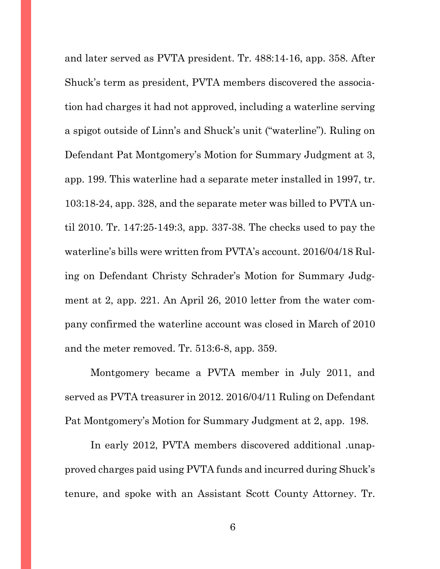and later served as PVTA president. Tr. 488:14-16, app. 358. After Shuck's term as president, PVTA members discovered the association had charges it had not approved, including a waterline serving a spigot outside of Linn's and Shuck's unit ("waterline"). Ruling on Defendant Pat Montgomery's Motion for Summary Judgment at 3, app. 199. This waterline had a separate meter installed in 1997, tr. 103:18-24, app. 328, and the separate meter was billed to PVTA until 2010. Tr. 147:25-149:3, app. 337-38. The checks used to pay the waterline's bills were written from PVTA's account. 2016/04/18 Ruling on Defendant Christy Schrader's Motion for Summary Judgment at 2, app. 221. An April 26, 2010 letter from the water company confirmed the waterline account was closed in March of 2010 and the meter removed. Tr. 513:6-8, app. 359.

Montgomery became a PVTA member in July 2011, and served as PVTA treasurer in 2012. 2016/04/11 Ruling on Defendant Pat Montgomery's Motion for Summary Judgment at 2, app. 198.

In early 2012, PVTA members discovered additional .unapproved charges paid using PVTA funds and incurred during Shuck's tenure, and spoke with an Assistant Scott County Attorney. Tr.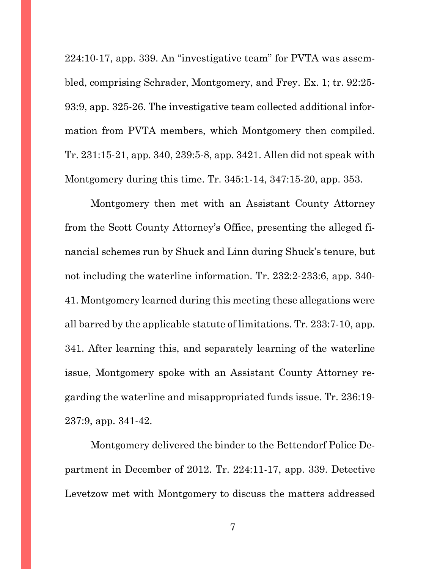224:10-17, app. 339. An "investigative team" for PVTA was assembled, comprising Schrader, Montgomery, and Frey. Ex. 1; tr. 92:25- 93:9, app. 325-26. The investigative team collected additional information from PVTA members, which Montgomery then compiled. Tr. 231:15-21, app. 340, 239:5-8, app. 3421. Allen did not speak with Montgomery during this time. Tr. 345:1-14, 347:15-20, app. 353.

Montgomery then met with an Assistant County Attorney from the Scott County Attorney's Office, presenting the alleged financial schemes run by Shuck and Linn during Shuck's tenure, but not including the waterline information. Tr. 232:2-233:6, app. 340- 41. Montgomery learned during this meeting these allegations were all barred by the applicable statute of limitations. Tr. 233:7-10, app. 341. After learning this, and separately learning of the waterline issue, Montgomery spoke with an Assistant County Attorney regarding the waterline and misappropriated funds issue. Tr. 236:19- 237:9, app. 341-42.

Montgomery delivered the binder to the Bettendorf Police Department in December of 2012. Tr. 224:11-17, app. 339. Detective Levetzow met with Montgomery to discuss the matters addressed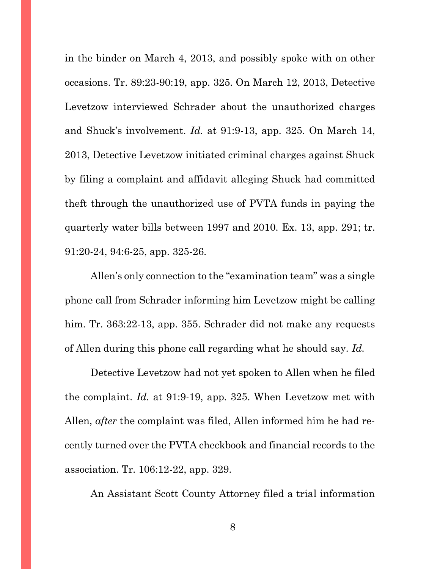in the binder on March 4, 2013, and possibly spoke with on other occasions. Tr. 89:23-90:19, app. 325. On March 12, 2013, Detective Levetzow interviewed Schrader about the unauthorized charges and Shuck's involvement. *Id.* at 91:9-13, app. 325. On March 14, 2013, Detective Levetzow initiated criminal charges against Shuck by filing a complaint and affidavit alleging Shuck had committed theft through the unauthorized use of PVTA funds in paying the quarterly water bills between 1997 and 2010. Ex. 13, app. 291; tr. 91:20-24, 94:6-25, app. 325-26.

Allen's only connection to the "examination team" was a single phone call from Schrader informing him Levetzow might be calling him. Tr. 363:22-13, app. 355. Schrader did not make any requests of Allen during this phone call regarding what he should say. *Id.*

Detective Levetzow had not yet spoken to Allen when he filed the complaint. *Id.* at 91:9-19, app. 325. When Levetzow met with Allen, *after* the complaint was filed, Allen informed him he had recently turned over the PVTA checkbook and financial records to the association. Tr. 106:12-22, app. 329.

An Assistant Scott County Attorney filed a trial information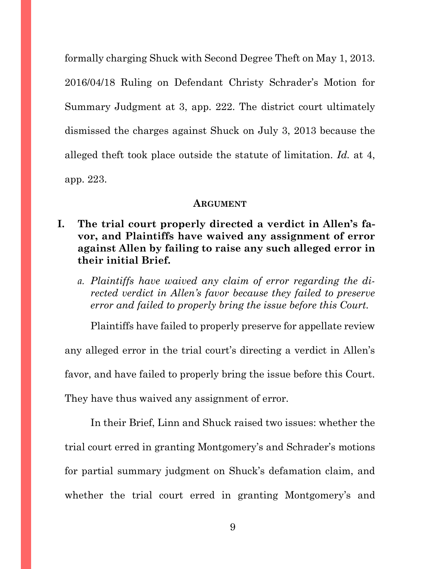formally charging Shuck with Second Degree Theft on May 1, 2013. 2016/04/18 Ruling on Defendant Christy Schrader's Motion for Summary Judgment at 3, app. 222. The district court ultimately dismissed the charges against Shuck on July 3, 2013 because the alleged theft took place outside the statute of limitation. *Id.* at 4, app. 223.

#### **ARGUMENT**

- <span id="page-14-1"></span><span id="page-14-0"></span>**I. The trial court properly directed a verdict in Allen's favor, and Plaintiffs have waived any assignment of error against Allen by failing to raise any such alleged error in their initial Brief.**
	- *a. Plaintiffs have waived any claim of error regarding the directed verdict in Allen's favor because they failed to preserve error and failed to properly bring the issue before this Court.*

<span id="page-14-2"></span>Plaintiffs have failed to properly preserve for appellate review any alleged error in the trial court's directing a verdict in Allen's favor, and have failed to properly bring the issue before this Court. They have thus waived any assignment of error.

In their Brief, Linn and Shuck raised two issues: whether the trial court erred in granting Montgomery's and Schrader's motions for partial summary judgment on Shuck's defamation claim, and whether the trial court erred in granting Montgomery's and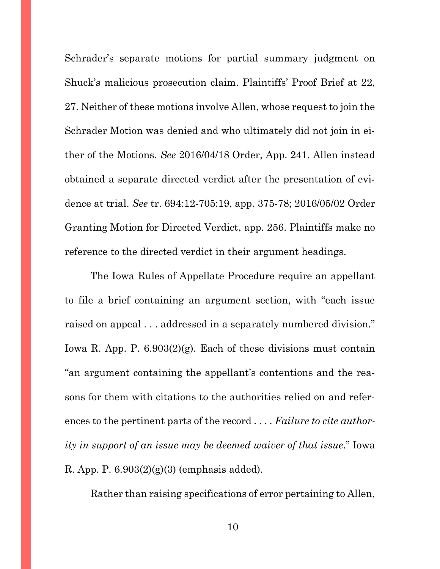Schrader's separate motions for partial summary judgment on Shuck's malicious prosecution claim. Plaintiffs' Proof Brief at 22, 27. Neither of these motions involve Allen, whose request to join the Schrader Motion was denied and who ultimately did not join in either of the Motions. *See* 2016/04/18 Order, App. 241. Allen instead obtained a separate directed verdict after the presentation of evidence at trial. *See* tr. 694:12-705:19, app. 375-78; 2016/05/02 Order Granting Motion for Directed Verdict, app. 256. Plaintiffs make no reference to the directed verdict in their argument headings.

The Iowa Rules of Appellate Procedure require an appellant to file a brief containing an argument section, with "each issue raised on appeal . . . addressed in a separately numbered division." Iowa R. App. P. 6.903(2)(g). Each of these divisions must contain "an argument containing the appellant's contentions and the reasons for them with citations to the authorities relied on and references to the pertinent parts of the record . . . . *Failure to cite authority in support of an issue may be deemed waiver of that issue*." Iowa R. App. P. 6.903(2)(g)(3) (emphasis added).

Rather than raising specifications of error pertaining to Allen,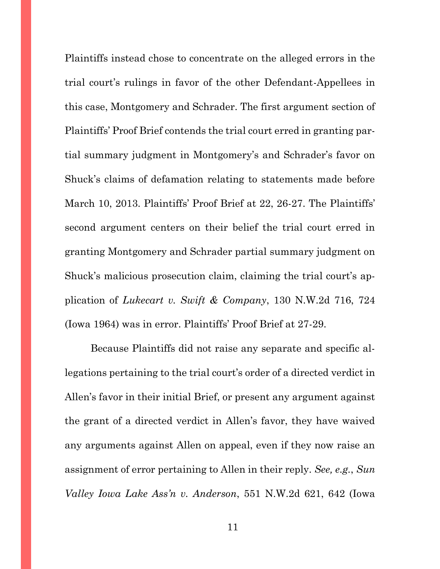Plaintiffs instead chose to concentrate on the alleged errors in the trial court's rulings in favor of the other Defendant-Appellees in this case, Montgomery and Schrader. The first argument section of Plaintiffs' Proof Brief contends the trial court erred in granting partial summary judgment in Montgomery's and Schrader's favor on Shuck's claims of defamation relating to statements made before March 10, 2013. Plaintiffs' Proof Brief at 22, 26-27. The Plaintiffs' second argument centers on their belief the trial court erred in granting Montgomery and Schrader partial summary judgment on Shuck's malicious prosecution claim, claiming the trial court's application of *Lukecart v. Swift & Company*, 130 N.W.2d 716, 724 (Iowa 1964) was in error. Plaintiffs' Proof Brief at 27-29.

Because Plaintiffs did not raise any separate and specific allegations pertaining to the trial court's order of a directed verdict in Allen's favor in their initial Brief, or present any argument against the grant of a directed verdict in Allen's favor, they have waived any arguments against Allen on appeal, even if they now raise an assignment of error pertaining to Allen in their reply. *See, e.g.*, *Sun Valley Iowa Lake Ass'n v. Anderson*, 551 N.W.2d 621, 642 (Iowa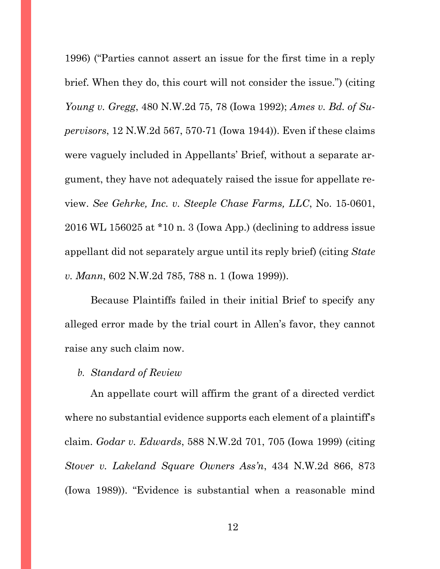1996) ("Parties cannot assert an issue for the first time in a reply brief. When they do, this court will not consider the issue.") (citing *Young v. Gregg*, 480 N.W.2d 75, 78 (Iowa 1992); *Ames v. Bd. of Supervisors*, 12 N.W.2d 567, 570-71 (Iowa 1944)). Even if these claims were vaguely included in Appellants' Brief, without a separate argument, they have not adequately raised the issue for appellate review. *See Gehrke, Inc. v. Steeple Chase Farms, LLC*, No. 15-0601, 2016 WL 156025 at \*10 n. 3 (Iowa App.) (declining to address issue appellant did not separately argue until its reply brief) (citing *State v. Mann*, 602 N.W.2d 785, 788 n. 1 (Iowa 1999)).

Because Plaintiffs failed in their initial Brief to specify any alleged error made by the trial court in Allen's favor, they cannot raise any such claim now.

### <span id="page-17-0"></span>*b. Standard of Review*

An appellate court will affirm the grant of a directed verdict where no substantial evidence supports each element of a plaintiff's claim. *Godar v. Edwards*, 588 N.W.2d 701, 705 (Iowa 1999) (citing *Stover v. Lakeland Square Owners Ass'n*, 434 N.W.2d 866, 873 (Iowa 1989)). "Evidence is substantial when a reasonable mind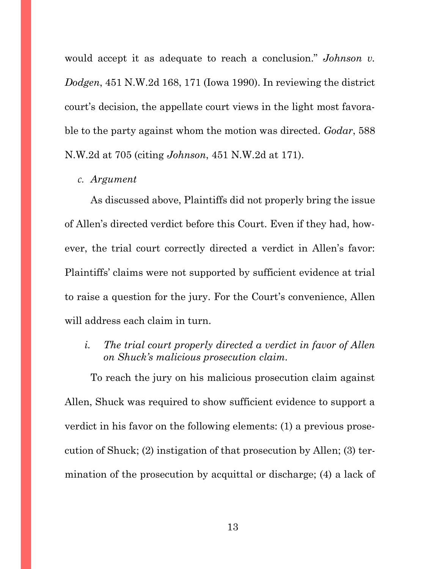would accept it as adequate to reach a conclusion." *Johnson v. Dodgen*, 451 N.W.2d 168, 171 (Iowa 1990). In reviewing the district court's decision, the appellate court views in the light most favorable to the party against whom the motion was directed. *Godar*, 588 N.W.2d at 705 (citing *Johnson*, 451 N.W.2d at 171).

#### <span id="page-18-0"></span>*c. Argument*

As discussed above, Plaintiffs did not properly bring the issue of Allen's directed verdict before this Court. Even if they had, however, the trial court correctly directed a verdict in Allen's favor: Plaintiffs' claims were not supported by sufficient evidence at trial to raise a question for the jury. For the Court's convenience, Allen will address each claim in turn.

<span id="page-18-1"></span>*i. The trial court properly directed a verdict in favor of Allen on Shuck's malicious prosecution claim.*

To reach the jury on his malicious prosecution claim against Allen, Shuck was required to show sufficient evidence to support a verdict in his favor on the following elements: (1) a previous prosecution of Shuck; (2) instigation of that prosecution by Allen; (3) termination of the prosecution by acquittal or discharge; (4) a lack of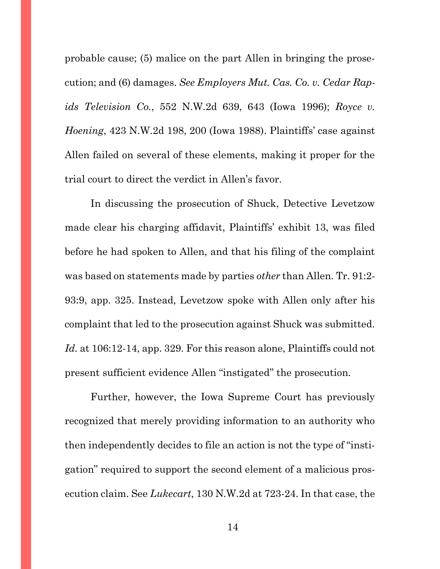probable cause; (5) malice on the part Allen in bringing the prosecution; and (6) damages. *See Employers Mut. Cas. Co. v. Cedar Rapids Television Co.*, 552 N.W.2d 639, 643 (Iowa 1996); *Royce v. Hoening*, 423 N.W.2d 198, 200 (Iowa 1988). Plaintiffs' case against Allen failed on several of these elements, making it proper for the trial court to direct the verdict in Allen's favor.

In discussing the prosecution of Shuck, Detective Levetzow made clear his charging affidavit, Plaintiffs' exhibit 13, was filed before he had spoken to Allen, and that his filing of the complaint was based on statements made by parties *other* than Allen. Tr. 91:2- 93:9, app. 325. Instead, Levetzow spoke with Allen only after his complaint that led to the prosecution against Shuck was submitted. *Id.* at 106:12-14, app. 329. For this reason alone, Plaintiffs could not present sufficient evidence Allen "instigated" the prosecution.

Further, however, the Iowa Supreme Court has previously recognized that merely providing information to an authority who then independently decides to file an action is not the type of "instigation" required to support the second element of a malicious prosecution claim. See *Lukecart*, 130 N.W.2d at 723-24. In that case, the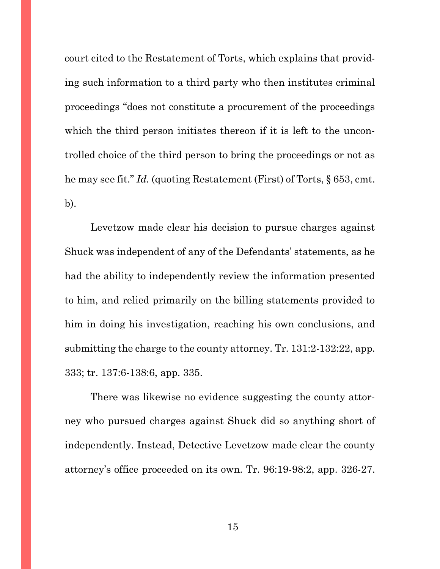court cited to the Restatement of Torts, which explains that providing such information to a third party who then institutes criminal proceedings "does not constitute a procurement of the proceedings which the third person initiates thereon if it is left to the uncontrolled choice of the third person to bring the proceedings or not as he may see fit." *Id.* (quoting Restatement (First) of Torts, § 653, cmt. b).

Levetzow made clear his decision to pursue charges against Shuck was independent of any of the Defendants' statements, as he had the ability to independently review the information presented to him, and relied primarily on the billing statements provided to him in doing his investigation, reaching his own conclusions, and submitting the charge to the county attorney. Tr. 131:2-132:22, app. 333; tr. 137:6-138:6, app. 335.

There was likewise no evidence suggesting the county attorney who pursued charges against Shuck did so anything short of independently. Instead, Detective Levetzow made clear the county attorney's office proceeded on its own. Tr. 96:19-98:2, app. 326-27.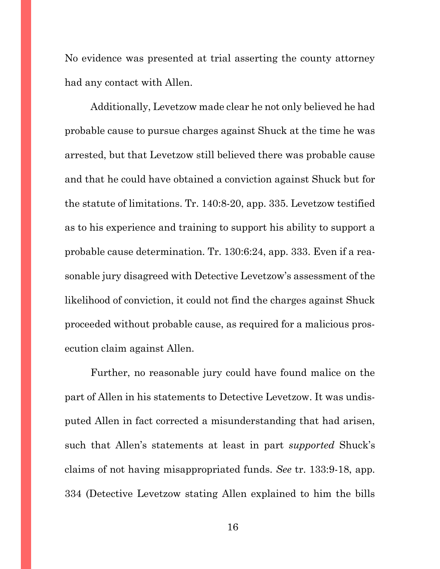No evidence was presented at trial asserting the county attorney had any contact with Allen.

Additionally, Levetzow made clear he not only believed he had probable cause to pursue charges against Shuck at the time he was arrested, but that Levetzow still believed there was probable cause and that he could have obtained a conviction against Shuck but for the statute of limitations. Tr. 140:8-20, app. 335. Levetzow testified as to his experience and training to support his ability to support a probable cause determination. Tr. 130:6:24, app. 333. Even if a reasonable jury disagreed with Detective Levetzow's assessment of the likelihood of conviction, it could not find the charges against Shuck proceeded without probable cause, as required for a malicious prosecution claim against Allen.

Further, no reasonable jury could have found malice on the part of Allen in his statements to Detective Levetzow. It was undisputed Allen in fact corrected a misunderstanding that had arisen, such that Allen's statements at least in part *supported* Shuck's claims of not having misappropriated funds. *See* tr. 133:9-18, app. 334 (Detective Levetzow stating Allen explained to him the bills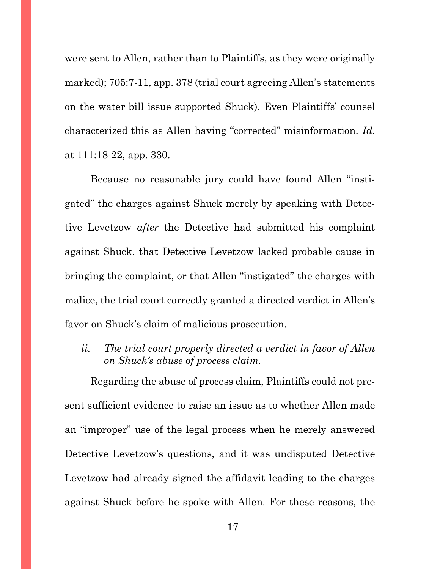were sent to Allen, rather than to Plaintiffs, as they were originally marked); 705:7-11, app. 378 (trial court agreeing Allen's statements on the water bill issue supported Shuck). Even Plaintiffs' counsel characterized this as Allen having "corrected" misinformation. *Id.* at 111:18-22, app. 330.

Because no reasonable jury could have found Allen "instigated" the charges against Shuck merely by speaking with Detective Levetzow *after* the Detective had submitted his complaint against Shuck, that Detective Levetzow lacked probable cause in bringing the complaint, or that Allen "instigated" the charges with malice, the trial court correctly granted a directed verdict in Allen's favor on Shuck's claim of malicious prosecution.

<span id="page-22-0"></span>*ii. The trial court properly directed a verdict in favor of Allen on Shuck's abuse of process claim.*

Regarding the abuse of process claim, Plaintiffs could not present sufficient evidence to raise an issue as to whether Allen made an "improper" use of the legal process when he merely answered Detective Levetzow's questions, and it was undisputed Detective Levetzow had already signed the affidavit leading to the charges against Shuck before he spoke with Allen. For these reasons, the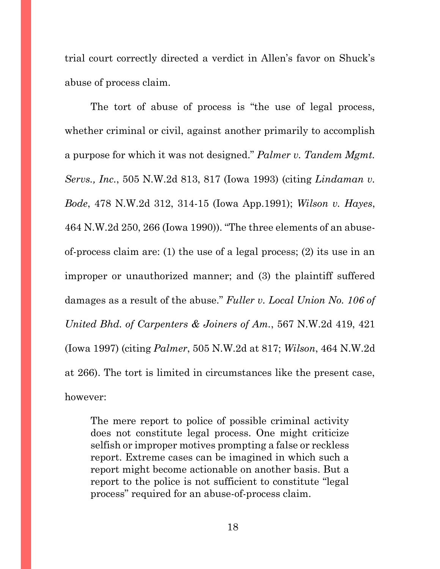trial court correctly directed a verdict in Allen's favor on Shuck's abuse of process claim.

The tort of abuse of process is "the use of legal process, whether criminal or civil, against another primarily to accomplish a purpose for which it was not designed." *Palmer v. Tandem Mgmt. Servs., Inc.*, 505 N.W.2d 813, 817 (Iowa 1993) (citing *Lindaman v. Bode*, 478 N.W.2d 312, 314-15 (Iowa App.1991); *Wilson v. Hayes*, 464 N.W.2d 250, 266 (Iowa 1990)). "The three elements of an abuseof-process claim are: (1) the use of a legal process; (2) its use in an improper or unauthorized manner; and (3) the plaintiff suffered damages as a result of the abuse." *Fuller v. Local Union No. 106 of United Bhd. of Carpenters & Joiners of Am.*, 567 N.W.2d 419, 421 (Iowa 1997) (citing *Palmer*, 505 N.W.2d at 817; *Wilson*, 464 N.W.2d at 266). The tort is limited in circumstances like the present case, however:

The mere report to police of possible criminal activity does not constitute legal process. One might criticize selfish or improper motives prompting a false or reckless report. Extreme cases can be imagined in which such a report might become actionable on another basis. But a report to the police is not sufficient to constitute "legal process" required for an abuse-of-process claim.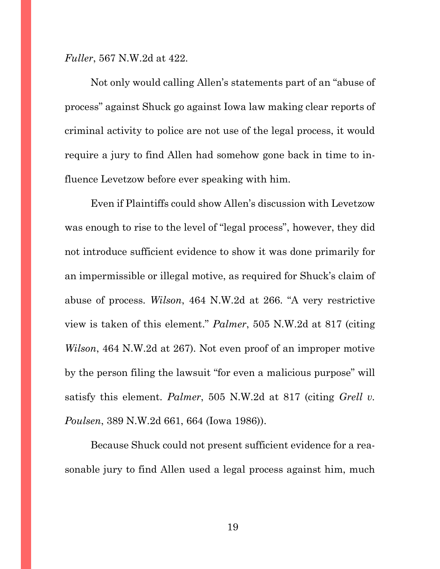*Fuller*, 567 N.W.2d at 422.

Not only would calling Allen's statements part of an "abuse of process" against Shuck go against Iowa law making clear reports of criminal activity to police are not use of the legal process, it would require a jury to find Allen had somehow gone back in time to influence Levetzow before ever speaking with him.

Even if Plaintiffs could show Allen's discussion with Levetzow was enough to rise to the level of "legal process", however, they did not introduce sufficient evidence to show it was done primarily for an impermissible or illegal motive, as required for Shuck's claim of abuse of process. *Wilson*, 464 N.W.2d at 266. "A very restrictive view is taken of this element." *Palmer*, 505 N.W.2d at 817 (citing *Wilson*, 464 N.W.2d at 267). Not even proof of an improper motive by the person filing the lawsuit "for even a malicious purpose" will satisfy this element. *Palmer*, 505 N.W.2d at 817 (citing *Grell v. Poulsen*, 389 N.W.2d 661, 664 (Iowa 1986)).

Because Shuck could not present sufficient evidence for a reasonable jury to find Allen used a legal process against him, much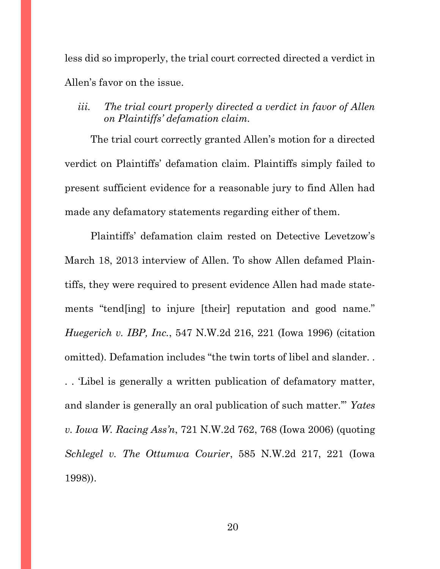less did so improperly, the trial court corrected directed a verdict in Allen's favor on the issue.

<span id="page-25-0"></span>*iii. The trial court properly directed a verdict in favor of Allen on Plaintiffs' defamation claim.*

The trial court correctly granted Allen's motion for a directed verdict on Plaintiffs' defamation claim. Plaintiffs simply failed to present sufficient evidence for a reasonable jury to find Allen had made any defamatory statements regarding either of them.

Plaintiffs' defamation claim rested on Detective Levetzow's March 18, 2013 interview of Allen. To show Allen defamed Plaintiffs, they were required to present evidence Allen had made statements "tend[ing] to injure [their] reputation and good name." *Huegerich v. IBP, Inc.*, 547 N.W.2d 216, 221 (Iowa 1996) (citation omitted). Defamation includes "the twin torts of libel and slander. . . . 'Libel is generally a written publication of defamatory matter, and slander is generally an oral publication of such matter.'" *Yates v. Iowa W. Racing Ass'n*, 721 N.W.2d 762, 768 (Iowa 2006) (quoting *Schlegel v. The Ottumwa Courier*, 585 N.W.2d 217, 221 (Iowa 1998)).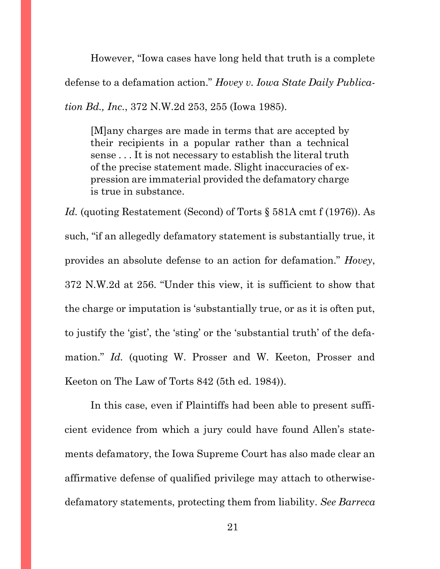However, "Iowa cases have long held that truth is a complete defense to a defamation action." *Hovey v. Iowa State Daily Publication Bd., Inc.*, 372 N.W.2d 253, 255 (Iowa 1985).

[M]any charges are made in terms that are accepted by their recipients in a popular rather than a technical sense . . . It is not necessary to establish the literal truth of the precise statement made. Slight inaccuracies of expression are immaterial provided the defamatory charge is true in substance.

Id. (quoting Restatement (Second) of Torts § 581A cmt f (1976)). As such, "if an allegedly defamatory statement is substantially true, it provides an absolute defense to an action for defamation." *Hovey*, 372 N.W.2d at 256. "Under this view, it is sufficient to show that the charge or imputation is 'substantially true, or as it is often put, to justify the 'gist', the 'sting' or the 'substantial truth' of the defamation." *Id.* (quoting W. Prosser and W. Keeton, Prosser and Keeton on The Law of Torts 842 (5th ed. 1984)).

In this case, even if Plaintiffs had been able to present sufficient evidence from which a jury could have found Allen's statements defamatory, the Iowa Supreme Court has also made clear an affirmative defense of qualified privilege may attach to otherwisedefamatory statements, protecting them from liability. *See Barreca*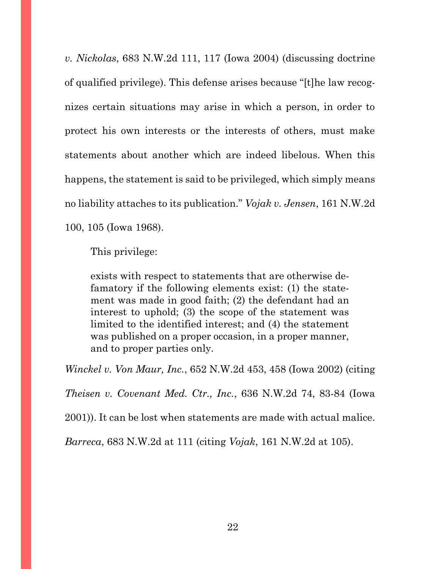*v. Nickolas*, 683 N.W.2d 111, 117 (Iowa 2004) (discussing doctrine of qualified privilege). This defense arises because "[t]he law recognizes certain situations may arise in which a person, in order to protect his own interests or the interests of others, must make statements about another which are indeed libelous. When this happens, the statement is said to be privileged, which simply means no liability attaches to its publication." *Vojak v. Jensen*, 161 N.W.2d 100, 105 (Iowa 1968).

This privilege:

exists with respect to statements that are otherwise defamatory if the following elements exist: (1) the statement was made in good faith; (2) the defendant had an interest to uphold; (3) the scope of the statement was limited to the identified interest; and (4) the statement was published on a proper occasion, in a proper manner, and to proper parties only.

*Winckel v. Von Maur, Inc.*, 652 N.W.2d 453, 458 (Iowa 2002) (citing

*Theisen v. Covenant Med. Ctr., Inc.*, 636 N.W.2d 74, 83-84 (Iowa

2001)). It can be lost when statements are made with actual malice.

*Barreca*, 683 N.W.2d at 111 (citing *Vojak*, 161 N.W.2d at 105).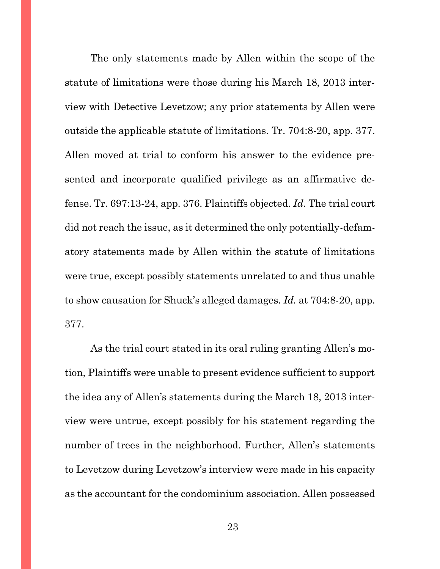The only statements made by Allen within the scope of the statute of limitations were those during his March 18, 2013 interview with Detective Levetzow; any prior statements by Allen were outside the applicable statute of limitations. Tr. 704:8-20, app. 377. Allen moved at trial to conform his answer to the evidence presented and incorporate qualified privilege as an affirmative defense. Tr. 697:13-24, app. 376. Plaintiffs objected. *Id.* The trial court did not reach the issue, as it determined the only potentially-defamatory statements made by Allen within the statute of limitations were true, except possibly statements unrelated to and thus unable to show causation for Shuck's alleged damages. *Id.* at 704:8-20, app. 377.

As the trial court stated in its oral ruling granting Allen's motion, Plaintiffs were unable to present evidence sufficient to support the idea any of Allen's statements during the March 18, 2013 interview were untrue, except possibly for his statement regarding the number of trees in the neighborhood. Further, Allen's statements to Levetzow during Levetzow's interview were made in his capacity as the accountant for the condominium association. Allen possessed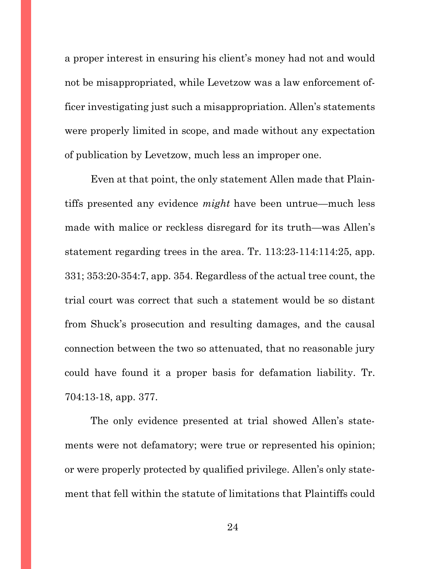a proper interest in ensuring his client's money had not and would not be misappropriated, while Levetzow was a law enforcement officer investigating just such a misappropriation. Allen's statements were properly limited in scope, and made without any expectation of publication by Levetzow, much less an improper one.

Even at that point, the only statement Allen made that Plaintiffs presented any evidence *might* have been untrue—much less made with malice or reckless disregard for its truth—was Allen's statement regarding trees in the area. Tr. 113:23-114:114:25, app. 331; 353:20-354:7, app. 354. Regardless of the actual tree count, the trial court was correct that such a statement would be so distant from Shuck's prosecution and resulting damages, and the causal connection between the two so attenuated, that no reasonable jury could have found it a proper basis for defamation liability. Tr. 704:13-18, app. 377.

The only evidence presented at trial showed Allen's statements were not defamatory; were true or represented his opinion; or were properly protected by qualified privilege. Allen's only statement that fell within the statute of limitations that Plaintiffs could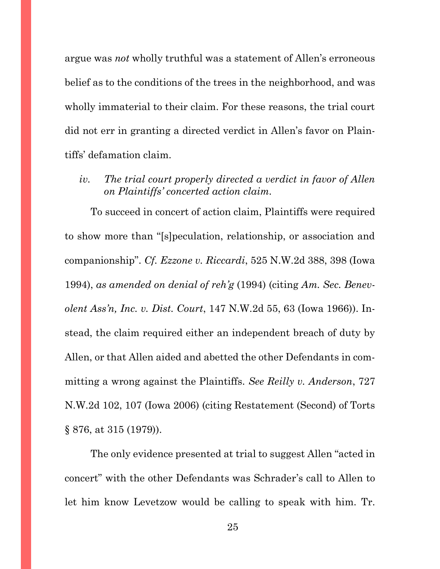argue was *not* wholly truthful was a statement of Allen's erroneous belief as to the conditions of the trees in the neighborhood, and was wholly immaterial to their claim. For these reasons, the trial court did not err in granting a directed verdict in Allen's favor on Plaintiffs' defamation claim.

<span id="page-30-0"></span>*iv. The trial court properly directed a verdict in favor of Allen on Plaintiffs' concerted action claim.*

To succeed in concert of action claim, Plaintiffs were required to show more than "[s]peculation, relationship, or association and companionship". *Cf. Ezzone v. Riccardi*, 525 N.W.2d 388, 398 (Iowa 1994), *as amended on denial of reh'g* (1994) (citing *Am. Sec. Benevolent Ass'n, Inc. v. Dist. Court*, 147 N.W.2d 55, 63 (Iowa 1966)). Instead, the claim required either an independent breach of duty by Allen, or that Allen aided and abetted the other Defendants in committing a wrong against the Plaintiffs. *See Reilly v. Anderson*, 727 N.W.2d 102, 107 (Iowa 2006) (citing Restatement (Second) of Torts § 876, at 315 (1979)).

The only evidence presented at trial to suggest Allen "acted in concert" with the other Defendants was Schrader's call to Allen to let him know Levetzow would be calling to speak with him. Tr.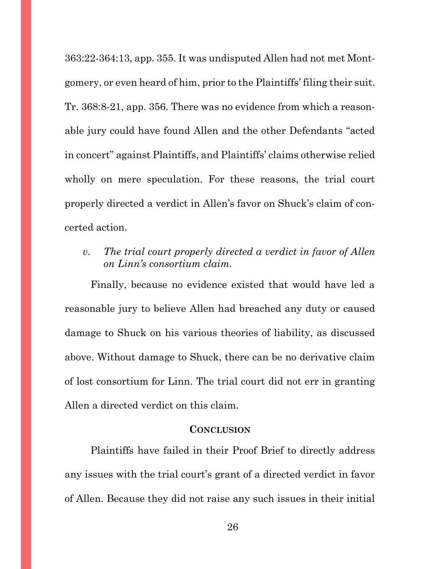363:22-364:13, app. 355. It was undisputed Allen had not met Montgomery, or even heard of him, prior to the Plaintiffs' filing their suit. Tr. 368:8-21, app. 356. There was no evidence from which a reasonable jury could have found Allen and the other Defendants "acted in concert" against Plaintiffs, and Plaintiffs' claims otherwise relied wholly on mere speculation. For these reasons, the trial court properly directed a verdict in Allen's favor on Shuck's claim of concerted action.

<span id="page-31-0"></span>*v. The trial court properly directed a verdict in favor of Allen on Linn's consortium claim.*

Finally, because no evidence existed that would have led a reasonable jury to believe Allen had breached any duty or caused damage to Shuck on his various theories of liability, as discussed above. Without damage to Shuck, there can be no derivative claim of lost consortium for Linn. The trial court did not err in granting Allen a directed verdict on this claim.

#### **CONCLUSION**

<span id="page-31-1"></span>Plaintiffs have failed in their Proof Brief to directly address any issues with the trial court's grant of a directed verdict in favor of Allen. Because they did not raise any such issues in their initial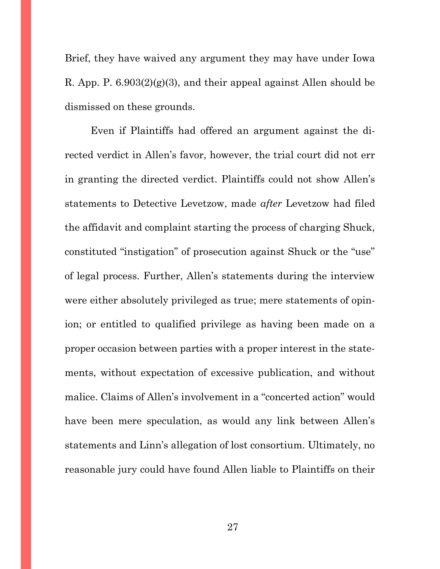Brief, they have waived any argument they may have under Iowa R. App. P.  $6.903(2)(g)(3)$ , and their appeal against Allen should be dismissed on these grounds.

Even if Plaintiffs had offered an argument against the directed verdict in Allen's favor, however, the trial court did not err in granting the directed verdict. Plaintiffs could not show Allen's statements to Detective Levetzow, made *after* Levetzow had filed the affidavit and complaint starting the process of charging Shuck, constituted "instigation" of prosecution against Shuck or the "use" of legal process. Further, Allen's statements during the interview were either absolutely privileged as true; mere statements of opinion; or entitled to qualified privilege as having been made on a proper occasion between parties with a proper interest in the statements, without expectation of excessive publication, and without malice. Claims of Allen's involvement in a "concerted action" would have been mere speculation, as would any link between Allen's statements and Linn's allegation of lost consortium. Ultimately, no reasonable jury could have found Allen liable to Plaintiffs on their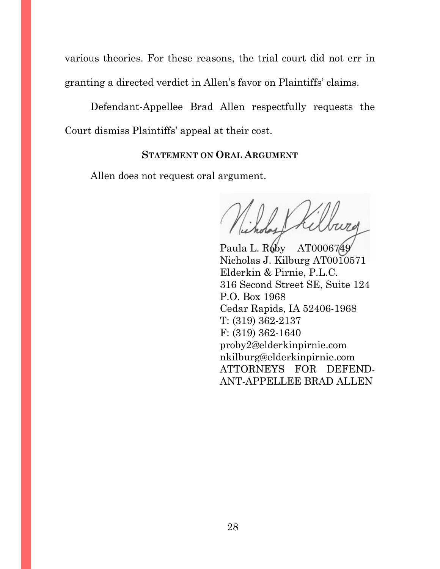various theories. For these reasons, the trial court did not err in granting a directed verdict in Allen's favor on Plaintiffs' claims.

Defendant-Appellee Brad Allen respectfully requests the Court dismiss Plaintiffs' appeal at their cost.

## **STATEMENT ON ORAL ARGUMENT**

<span id="page-33-0"></span>Allen does not request oral argument.

Paula L. Roby AT0006749 Nicholas J. Kilburg AT0010571 Elderkin & Pirnie, P.L.C. 316 Second Street SE, Suite 124 P.O. Box 1968 Cedar Rapids, IA 52406-1968 T: (319) 362-2137 F: (319) 362-1640 proby2@elderkinpirnie.com nkilburg@elderkinpirnie.com ATTORNEYS FOR DEFEND-ANT-APPELLEE BRAD ALLEN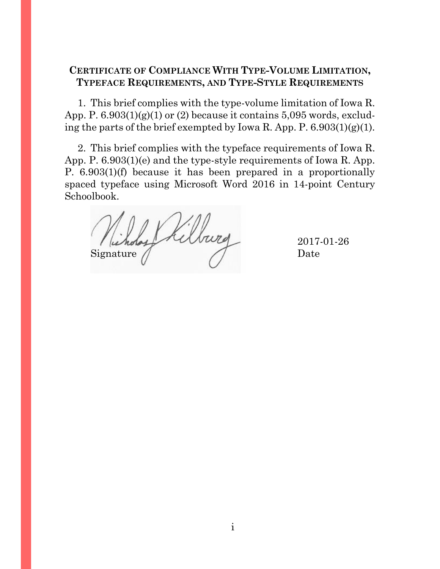# <span id="page-34-0"></span>**CERTIFICATE OF COMPLIANCE WITH TYPE-VOLUME LIMITATION, TYPEFACE REQUIREMENTS, AND TYPE-STYLE REQUIREMENTS**

1. This brief complies with the type-volume limitation of Iowa R. App. P.  $6.903(1)(g)(1)$  or  $(2)$  because it contains  $5.095$  words, excluding the parts of the brief exempted by Iowa R. App. P. 6.903(1)(g)(1).

2. This brief complies with the typeface requirements of Iowa R. App. P. 6.903(1)(e) and the type-style requirements of Iowa R. App. P. 6.903(1)(f) because it has been prepared in a proportionally spaced typeface using Microsoft Word 2016 in 14-point Century Schoolbook.

elburg Signature // Date

2017-01-26